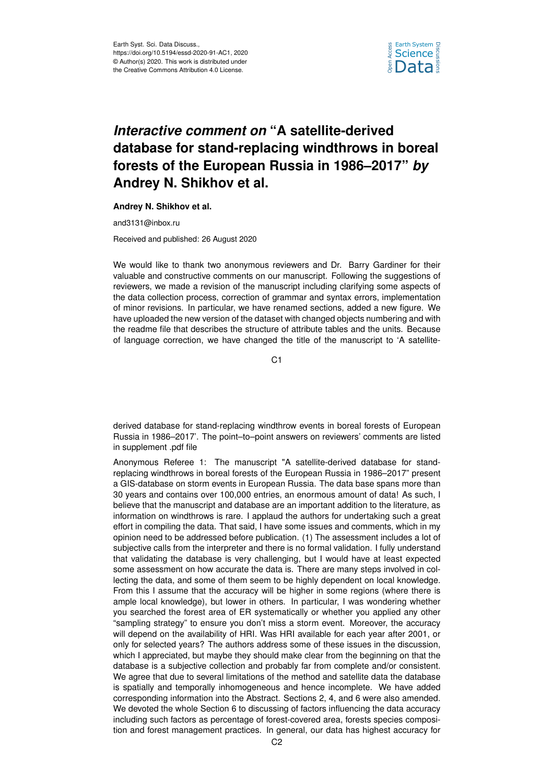

## *Interactive comment on* **"A satellite-derived database for stand-replacing windthrows in boreal forests of the European Russia in 1986–2017"** *by* **Andrey N. Shikhov et al.**

## **Andrey N. Shikhov et al.**

and3131@inbox.ru

Received and published: 26 August 2020

We would like to thank two anonymous reviewers and Dr. Barry Gardiner for their valuable and constructive comments on our manuscript. Following the suggestions of reviewers, we made a revision of the manuscript including clarifying some aspects of the data collection process, correction of grammar and syntax errors, implementation of minor revisions. In particular, we have renamed sections, added a new figure. We have uploaded the new version of the dataset with changed objects numbering and with the readme file that describes the structure of attribute tables and the units. Because of language correction, we have changed the title of the manuscript to 'A satellite-

 $C<sub>1</sub>$ 

derived database for stand-replacing windthrow events in boreal forests of European Russia in 1986–2017'. The point–to–point answers on reviewers' comments are listed in supplement .pdf file

Anonymous Referee 1: The manuscript "A satellite-derived database for standreplacing windthrows in boreal forests of the European Russia in 1986–2017" present a GIS-database on storm events in European Russia. The data base spans more than 30 years and contains over 100,000 entries, an enormous amount of data! As such, I believe that the manuscript and database are an important addition to the literature, as information on windthrows is rare. I applaud the authors for undertaking such a great effort in compiling the data. That said, I have some issues and comments, which in my opinion need to be addressed before publication. (1) The assessment includes a lot of subjective calls from the interpreter and there is no formal validation. I fully understand that validating the database is very challenging, but I would have at least expected some assessment on how accurate the data is. There are many steps involved in collecting the data, and some of them seem to be highly dependent on local knowledge. From this I assume that the accuracy will be higher in some regions (where there is ample local knowledge), but lower in others. In particular, I was wondering whether you searched the forest area of ER systematically or whether you applied any other "sampling strategy" to ensure you don't miss a storm event. Moreover, the accuracy will depend on the availability of HRI. Was HRI available for each year after 2001, or only for selected years? The authors address some of these issues in the discussion, which I appreciated, but maybe they should make clear from the beginning on that the database is a subjective collection and probably far from complete and/or consistent. We agree that due to several limitations of the method and satellite data the database is spatially and temporally inhomogeneous and hence incomplete. We have added corresponding information into the Abstract. Sections 2, 4, and 6 were also amended. We devoted the whole Section 6 to discussing of factors influencing the data accuracy including such factors as percentage of forest-covered area, forests species composition and forest management practices. In general, our data has highest accuracy for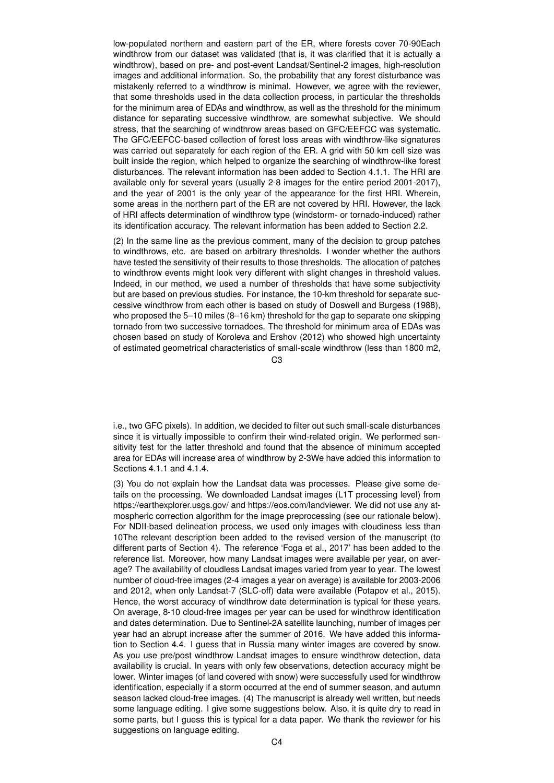low-populated northern and eastern part of the ER, where forests cover 70-90Each windthrow from our dataset was validated (that is, it was clarified that it is actually a windthrow), based on pre- and post-event Landsat/Sentinel-2 images, high-resolution images and additional information. So, the probability that any forest disturbance was mistakenly referred to a windthrow is minimal. However, we agree with the reviewer, that some thresholds used in the data collection process, in particular the thresholds for the minimum area of EDAs and windthrow, as well as the threshold for the minimum distance for separating successive windthrow, are somewhat subjective. We should stress, that the searching of windthrow areas based on GFC/EEFCC was systematic. The GFC/EEFCC-based collection of forest loss areas with windthrow-like signatures was carried out separately for each region of the ER. A grid with 50 km cell size was built inside the region, which helped to organize the searching of windthrow-like forest disturbances. The relevant information has been added to Section 4.1.1. The HRI are available only for several years (usually 2-8 images for the entire period 2001-2017), and the year of 2001 is the only year of the appearance for the first HRI. Wherein, some areas in the northern part of the ER are not covered by HRI. However, the lack of HRI affects determination of windthrow type (windstorm- or tornado-induced) rather its identification accuracy. The relevant information has been added to Section 2.2.

(2) In the same line as the previous comment, many of the decision to group patches to windthrows, etc. are based on arbitrary thresholds. I wonder whether the authors have tested the sensitivity of their results to those thresholds. The allocation of patches to windthrow events might look very different with slight changes in threshold values. Indeed, in our method, we used a number of thresholds that have some subjectivity but are based on previous studies. For instance, the 10-km threshold for separate successive windthrow from each other is based on study of Doswell and Burgess (1988), who proposed the 5–10 miles (8–16 km) threshold for the gap to separate one skipping tornado from two successive tornadoes. The threshold for minimum area of EDAs was chosen based on study of Koroleva and Ershov (2012) who showed high uncertainty of estimated geometrical characteristics of small-scale windthrow (less than 1800 m2,

 $C<sub>3</sub>$ 

i.e., two GFC pixels). In addition, we decided to filter out such small-scale disturbances since it is virtually impossible to confirm their wind-related origin. We performed sensitivity test for the latter threshold and found that the absence of minimum accepted area for EDAs will increase area of windthrow by 2-3We have added this information to Sections 4.1.1 and 4.1.4.

(3) You do not explain how the Landsat data was processes. Please give some details on the processing. We downloaded Landsat images (L1T processing level) from https://earthexplorer.usgs.gov/ and https://eos.com/landviewer. We did not use any atmospheric correction algorithm for the image preprocessing (see our rationale below). For NDII-based delineation process, we used only images with cloudiness less than 10The relevant description been added to the revised version of the manuscript (to different parts of Section 4). The reference 'Foga et al., 2017' has been added to the reference list. Moreover, how many Landsat images were available per year, on average? The availability of cloudless Landsat images varied from year to year. The lowest number of cloud-free images (2-4 images a year on average) is available for 2003-2006 and 2012, when only Landsat-7 (SLC-off) data were available (Potapov et al., 2015). Hence, the worst accuracy of windthrow date determination is typical for these years. On average, 8-10 cloud-free images per year can be used for windthrow identification and dates determination. Due to Sentinel-2A satellite launching, number of images per year had an abrupt increase after the summer of 2016. We have added this information to Section 4.4. I guess that in Russia many winter images are covered by snow. As you use pre/post windthrow Landsat images to ensure windthrow detection, data availability is crucial. In years with only few observations, detection accuracy might be lower. Winter images (of land covered with snow) were successfully used for windthrow identification, especially if a storm occurred at the end of summer season, and autumn season lacked cloud-free images. (4) The manuscript is already well written, but needs some language editing. I give some suggestions below. Also, it is quite dry to read in some parts, but I guess this is typical for a data paper. We thank the reviewer for his suggestions on language editing.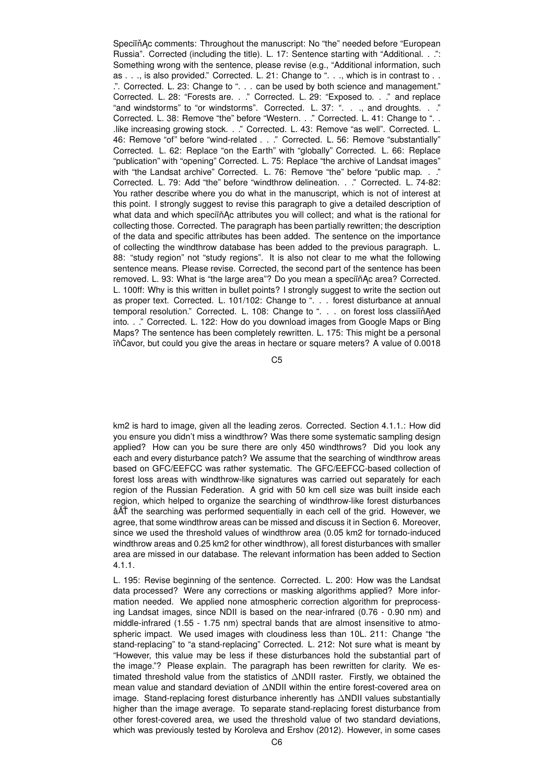SpeciïňAc comments: Throughout the manuscript: No "the" needed before "European Russia". Corrected (including the title). L. 17: Sentence starting with "Additional. . .": Something wrong with the sentence, please revise (e.g., "Additional information, such as . . ., is also provided." Corrected. L. 21: Change to ". . ., which is in contrast to . . .". Corrected. L. 23: Change to ". . . can be used by both science and management." Corrected. L. 28: "Forests are. . ." Corrected. L. 29: "Exposed to. . ." and replace "and windstorms" to "or windstorms". Corrected. L. 37: ". . ., and droughts. . ." Corrected. L. 38: Remove "the" before "Western. . ." Corrected. L. 41: Change to ". . .like increasing growing stock. . ." Corrected. L. 43: Remove "as well". Corrected. L. 46: Remove "of" before "wind-related . . ." Corrected. L. 56: Remove "substantially" Corrected. L. 62: Replace "on the Earth" with "globally" Corrected. L. 66: Replace "publication" with "opening" Corrected. L. 75: Replace "the archive of Landsat images" with "the Landsat archive" Corrected. L. 76: Remove "the" before "public map. . ." Corrected. L. 79: Add "the" before "windthrow delineation. . ." Corrected. L. 74-82: You rather describe where you do what in the manuscript, which is not of interest at this point. I strongly suggest to revise this paragraph to give a detailed description of what data and which speciin Ac attributes you will collect; and what is the rational for collecting those. Corrected. The paragraph has been partially rewritten; the description of the data and specific attributes has been added. The sentence on the importance of collecting the windthrow database has been added to the previous paragraph. L. 88: "study region" not "study regions". It is also not clear to me what the following sentence means. Please revise. Corrected, the second part of the sentence has been removed. L. 93: What is "the large area"? Do you mean a speciin Ac area? Corrected. L. 100ff: Why is this written in bullet points? I strongly suggest to write the section out as proper text. Corrected. L. 101/102: Change to ". . . forest disturbance at annual temporal resolution." Corrected. L. 108: Change to ". . . on forest loss classiin Aed into. . ." Corrected. L. 122: How do you download images from Google Maps or Bing Maps? The sentence has been completely rewritten. L. 175: This might be a personal in Cavor, but could you give the areas in hectare or square meters? A value of 0.0018

C5

km2 is hard to image, given all the leading zeros. Corrected. Section 4.1.1.: How did you ensure you didn't miss a windthrow? Was there some systematic sampling design applied? How can you be sure there are only 450 windthrows? Did you look any each and every disturbance patch? We assume that the searching of windthrow areas based on GFC/EEFCC was rather systematic. The GFC/EEFCC-based collection of forest loss areas with windthrow-like signatures was carried out separately for each region of the Russian Federation. A grid with 50 km cell size was built inside each region, which helped to organize the searching of windthrow-like forest disturbances âAT the searching was performed sequentially in each cell of the grid. However, we agree, that some windthrow areas can be missed and discuss it in Section 6. Moreover, since we used the threshold values of windthrow area (0.05 km2 for tornado-induced windthrow areas and 0.25 km2 for other windthrow), all forest disturbances with smaller area are missed in our database. The relevant information has been added to Section 4.1.1.

L. 195: Revise beginning of the sentence. Corrected. L. 200: How was the Landsat data processed? Were any corrections or masking algorithms applied? More information needed. We applied none atmospheric correction algorithm for preprocessing Landsat images, since NDII is based on the near-infrared (0.76 - 0.90 nm) and middle-infrared (1.55 - 1.75 nm) spectral bands that are almost insensitive to atmospheric impact. We used images with cloudiness less than 10L. 211: Change "the stand-replacing" to "a stand-replacing" Corrected. L. 212: Not sure what is meant by "However, this value may be less if these disturbances hold the substantial part of the image."? Please explain. The paragraph has been rewritten for clarity. We estimated threshold value from the statistics of ∆NDII raster. Firstly, we obtained the mean value and standard deviation of ∆NDII within the entire forest-covered area on image. Stand-replacing forest disturbance inherently has ∆NDII values substantially higher than the image average. To separate stand-replacing forest disturbance from other forest-covered area, we used the threshold value of two standard deviations, which was previously tested by Koroleva and Ershov (2012). However, in some cases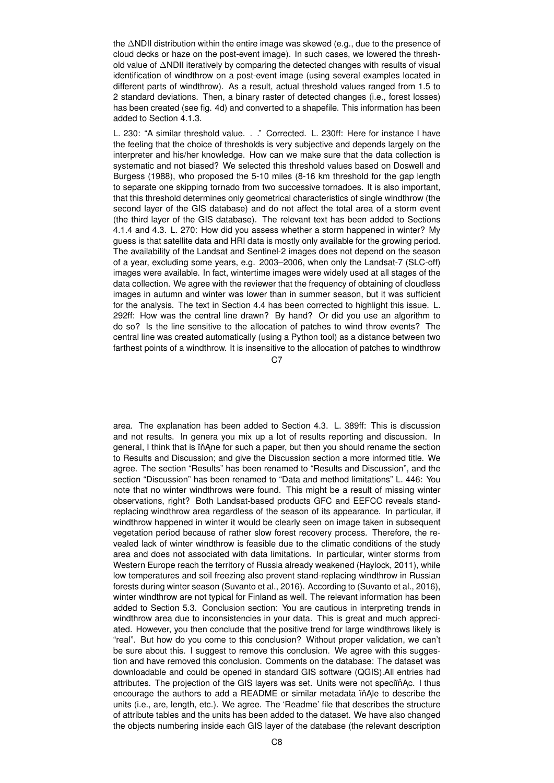the ∆NDII distribution within the entire image was skewed (e.g., due to the presence of cloud decks or haze on the post-event image). In such cases, we lowered the threshold value of ∆NDII iteratively by comparing the detected changes with results of visual identification of windthrow on a post-event image (using several examples located in different parts of windthrow). As a result, actual threshold values ranged from 1.5 to 2 standard deviations. Then, a binary raster of detected changes (i.e., forest losses) has been created (see fig. 4d) and converted to a shapefile. This information has been added to Section 4.1.3.

L. 230: "A similar threshold value. . ." Corrected. L. 230ff: Here for instance I have the feeling that the choice of thresholds is very subjective and depends largely on the interpreter and his/her knowledge. How can we make sure that the data collection is systematic and not biased? We selected this threshold values based on Doswell and Burgess (1988), who proposed the 5-10 miles (8-16 km threshold for the gap length to separate one skipping tornado from two successive tornadoes. It is also important, that this threshold determines only geometrical characteristics of single windthrow (the second layer of the GIS database) and do not affect the total area of a storm event (the third layer of the GIS database). The relevant text has been added to Sections 4.1.4 and 4.3. L. 270: How did you assess whether a storm happened in winter? My guess is that satellite data and HRI data is mostly only available for the growing period. The availability of the Landsat and Sentinel-2 images does not depend on the season of a year, excluding some years, e.g. 2003–2006, when only the Landsat-7 (SLC-off) images were available. In fact, wintertime images were widely used at all stages of the data collection. We agree with the reviewer that the frequency of obtaining of cloudless images in autumn and winter was lower than in summer season, but it was sufficient for the analysis. The text in Section 4.4 has been corrected to highlight this issue. L. 292ff: How was the central line drawn? By hand? Or did you use an algorithm to do so? Is the line sensitive to the allocation of patches to wind throw events? The central line was created automatically (using a Python tool) as a distance between two farthest points of a windthrow. It is insensitive to the allocation of patches to windthrow

 $C.7$ 

area. The explanation has been added to Section 4.3. L. 389ff: This is discussion and not results. In genera you mix up a lot of results reporting and discussion. In general, I think that is in Ane for such a paper, but then you should rename the section to Results and Discussion; and give the Discussion section a more informed title. We agree. The section "Results" has been renamed to "Results and Discussion", and the section "Discussion" has been renamed to "Data and method limitations" L. 446: You note that no winter windthrows were found. This might be a result of missing winter observations, right? Both Landsat-based products GFC and EEFCC reveals standreplacing windthrow area regardless of the season of its appearance. In particular, if windthrow happened in winter it would be clearly seen on image taken in subsequent vegetation period because of rather slow forest recovery process. Therefore, the revealed lack of winter windthrow is feasible due to the climatic conditions of the study area and does not associated with data limitations. In particular, winter storms from Western Europe reach the territory of Russia already weakened (Haylock, 2011), while low temperatures and soil freezing also prevent stand-replacing windthrow in Russian forests during winter season (Suvanto et al., 2016). According to (Suvanto et al., 2016), winter windthrow are not typical for Finland as well. The relevant information has been added to Section 5.3. Conclusion section: You are cautious in interpreting trends in windthrow area due to inconsistencies in your data. This is great and much appreciated. However, you then conclude that the positive trend for large windthrows likely is "real". But how do you come to this conclusion? Without proper validation, we can't be sure about this. I suggest to remove this conclusion. We agree with this suggestion and have removed this conclusion. Comments on the database: The dataset was downloadable and could be opened in standard GIS software (QGIS).All entries had attributes. The projection of the GIS layers was set. Units were not speciin Ac. I thus encourage the authors to add a README or similar metadata in Ale to describe the units (i.e., are, length, etc.). We agree. The 'Readme' file that describes the structure of attribute tables and the units has been added to the dataset. We have also changed the objects numbering inside each GIS layer of the database (the relevant description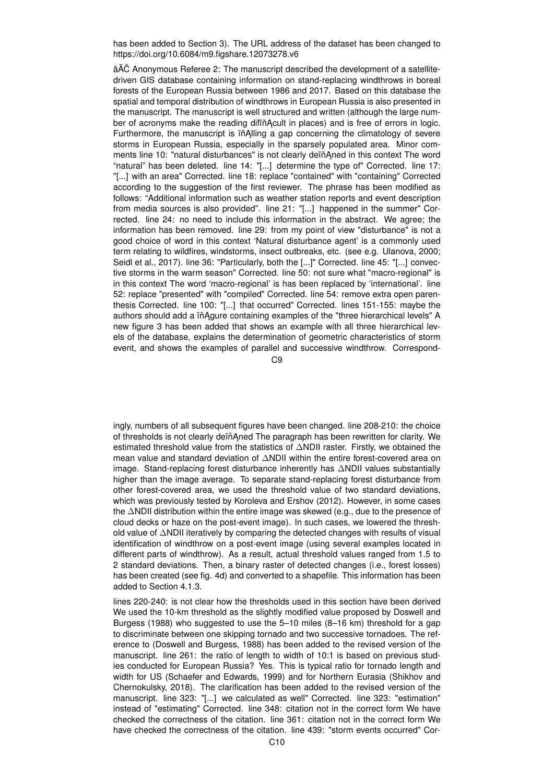has been added to Section 3). The URL address of the dataset has been changed to https://doi.org/10.6084/m9.figshare.12073278.v6

âĂČ Anonymous Referee 2: The manuscript described the development of a satellitedriven GIS database containing information on stand-replacing windthrows in boreal forests of the European Russia between 1986 and 2017. Based on this database the spatial and temporal distribution of windthrows in European Russia is also presented in the manuscript. The manuscript is well structured and written (although the large number of acronyms make the reading difiňAcult in places) and is free of errors in logic. Furthermore, the manuscript is in Alling a gap concerning the climatology of severe storms in European Russia, especially in the sparsely populated area. Minor comments line 10: "natural disturbances" is not clearly deïňAned in this context The word "natural" has been deleted. line 14: "[...] determine the type of" Corrected. line 17: "[...] with an area" Corrected. line 18: replace "contained" with "containing" Corrected according to the suggestion of the first reviewer. The phrase has been modified as follows: "Additional information such as weather station reports and event description from media sources is also provided". line 21: "[...] happened in the summer" Corrected. line 24: no need to include this information in the abstract. We agree; the information has been removed. line 29: from my point of view "disturbance" is not a good choice of word in this context 'Natural disturbance agent' is a commonly used term relating to wildfires, windstorms, insect outbreaks, etc. (see e.g. Ulanova, 2000; Seidl et al., 2017). line 36: "Particularly, both the [...]" Corrected. line 45: "[...] convective storms in the warm season" Corrected. line 50: not sure what "macro-regional" is in this context The word 'macro-regional' is has been replaced by 'international'. line 52: replace "presented" with "compiled" Corrected. line 54: remove extra open parenthesis Corrected. line 100: "[...] that occurred" Corrected. lines 151-155: maybe the authors should add a in Agure containing examples of the "three hierarchical levels" A new figure 3 has been added that shows an example with all three hierarchical levels of the database, explains the determination of geometric characteristics of storm event, and shows the examples of parallel and successive windthrow. Correspond-

 $C<sub>9</sub>$ 

ingly, numbers of all subsequent figures have been changed. line 208-210: the choice of thresholds is not clearly deïn Aned The paragraph has been rewritten for clarity. We estimated threshold value from the statistics of ∆NDII raster. Firstly, we obtained the mean value and standard deviation of ∆NDII within the entire forest-covered area on image. Stand-replacing forest disturbance inherently has ∆NDII values substantially higher than the image average. To separate stand-replacing forest disturbance from other forest-covered area, we used the threshold value of two standard deviations, which was previously tested by Koroleva and Ershov (2012). However, in some cases the ∆NDII distribution within the entire image was skewed (e.g., due to the presence of cloud decks or haze on the post-event image). In such cases, we lowered the threshold value of ∆NDII iteratively by comparing the detected changes with results of visual identification of windthrow on a post-event image (using several examples located in different parts of windthrow). As a result, actual threshold values ranged from 1.5 to 2 standard deviations. Then, a binary raster of detected changes (i.e., forest losses) has been created (see fig. 4d) and converted to a shapefile. This information has been added to Section 4.1.3.

lines 220-240: is not clear how the thresholds used in this section have been derived We used the 10-km threshold as the slightly modified value proposed by Doswell and Burgess (1988) who suggested to use the 5–10 miles (8–16 km) threshold for a gap to discriminate between one skipping tornado and two successive tornadoes. The reference to (Doswell and Burgess, 1988) has been added to the revised version of the manuscript. line 261: the ratio of length to width of 10:1 is based on previous studies conducted for European Russia? Yes. This is typical ratio for tornado length and width for US (Schaefer and Edwards, 1999) and for Northern Eurasia (Shikhov and Chernokulsky, 2018). The clarification has been added to the revised version of the manuscript. line 323: "[...] we calculated as well" Corrected. line 323: "estimation" instead of "estimating" Corrected. line 348: citation not in the correct form We have checked the correctness of the citation. line 361: citation not in the correct form We have checked the correctness of the citation. line 439: "storm events occurred" Cor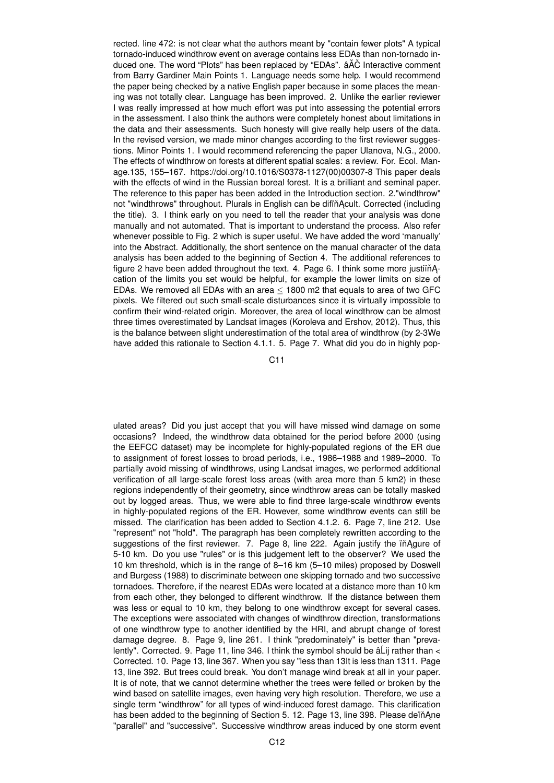rected. line 472: is not clear what the authors meant by "contain fewer plots" A typical tornado-induced windthrow event on average contains less EDAs than non-tornado induced one. The word "Plots" has been replaced by "EDAs".  $\hat{a}A\hat{C}$  Interactive comment from Barry Gardiner Main Points 1. Language needs some help. I would recommend the paper being checked by a native English paper because in some places the meaning was not totally clear. Language has been improved. 2. Unlike the earlier reviewer I was really impressed at how much effort was put into assessing the potential errors in the assessment. I also think the authors were completely honest about limitations in the data and their assessments. Such honesty will give really help users of the data. In the revised version, we made minor changes according to the first reviewer suggestions. Minor Points 1. I would recommend referencing the paper Ulanova, N.G., 2000. The effects of windthrow on forests at different spatial scales: a review. For. Ecol. Manage.135, 155–167. https://doi.org/10.1016/S0378-1127(00)00307-8 This paper deals with the effects of wind in the Russian boreal forest. It is a brilliant and seminal paper. The reference to this paper has been added in the Introduction section. 2."windthrow" not "windthrows" throughout. Plurals in English can be difind Acult. Corrected (including the title). 3. I think early on you need to tell the reader that your analysis was done manually and not automated. That is important to understand the process. Also refer whenever possible to Fig. 2 which is super useful. We have added the word 'manually' into the Abstract. Additionally, the short sentence on the manual character of the data analysis has been added to the beginning of Section 4. The additional references to figure 2 have been added throughout the text. 4. Page 6. I think some more justiin Acation of the limits you set would be helpful, for example the lower limits on size of EDAs. We removed all EDAs with an area ≤ 1800 m2 that equals to area of two GFC pixels. We filtered out such small-scale disturbances since it is virtually impossible to confirm their wind-related origin. Moreover, the area of local windthrow can be almost three times overestimated by Landsat images (Koroleva and Ershov, 2012). Thus, this is the balance between slight underestimation of the total area of windthrow (by 2-3We have added this rationale to Section 4.1.1. 5. Page 7. What did you do in highly pop-

C11

ulated areas? Did you just accept that you will have missed wind damage on some occasions? Indeed, the windthrow data obtained for the period before 2000 (using the EEFCC dataset) may be incomplete for highly-populated regions of the ER due to assignment of forest losses to broad periods, i.e., 1986–1988 and 1989–2000. To partially avoid missing of windthrows, using Landsat images, we performed additional verification of all large-scale forest loss areas (with area more than 5 km2) in these regions independently of their geometry, since windthrow areas can be totally masked out by logged areas. Thus, we were able to find three large-scale windthrow events in highly-populated regions of the ER. However, some windthrow events can still be missed. The clarification has been added to Section 4.1.2. 6. Page 7, line 212. Use "represent" not "hold". The paragraph has been completely rewritten according to the suggestions of the first reviewer. 7. Page 8, line 222. Again justify the ïňAgure of 5-10 km. Do you use "rules" or is this judgement left to the observer? We used the 10 km threshold, which is in the range of 8–16 km (5–10 miles) proposed by Doswell and Burgess (1988) to discriminate between one skipping tornado and two successive tornadoes. Therefore, if the nearest EDAs were located at a distance more than 10 km from each other, they belonged to different windthrow. If the distance between them was less or equal to 10 km, they belong to one windthrow except for several cases. The exceptions were associated with changes of windthrow direction, transformations of one windthrow type to another identified by the HRI, and abrupt change of forest damage degree. 8. Page 9, line 261. I think "predominately" is better than "prevalently". Corrected. 9. Page 11, line 346. I think the symbol should be  $\hat{a}$ Lij rather than  $\lt$ Corrected. 10. Page 13, line 367. When you say "less than 13It is less than 1311. Page 13, line 392. But trees could break. You don't manage wind break at all in your paper. It is of note, that we cannot determine whether the trees were felled or broken by the wind based on satellite images, even having very high resolution. Therefore, we use a single term "windthrow" for all types of wind-induced forest damage. This clarification has been added to the beginning of Section 5. 12. Page 13, line 398. Please deïnAne "parallel" and "successive". Successive windthrow areas induced by one storm event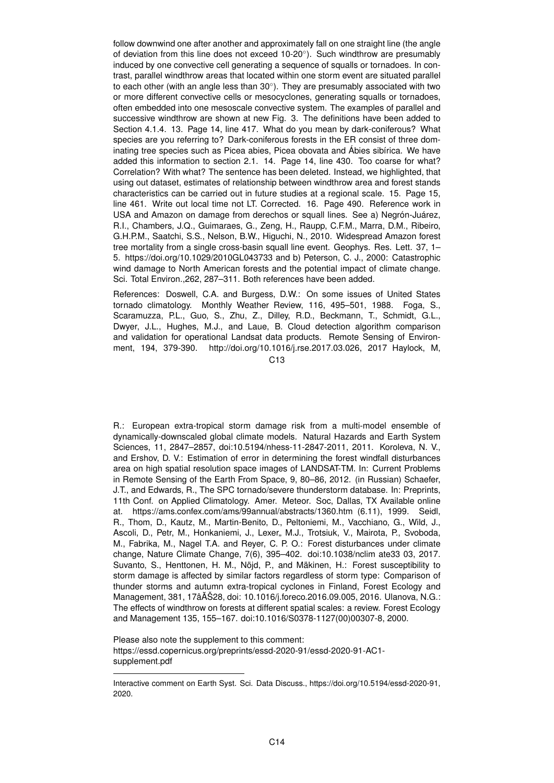follow downwind one after another and approximately fall on one straight line (the angle of deviation from this line does not exceed 10-20°). Such windthrow are presumably induced by one convective cell generating a sequence of squalls or tornadoes. In contrast, parallel windthrow areas that located within one storm event are situated parallel to each other (with an angle less than 30°). They are presumably associated with two or more different convective cells or mesocyclones, generating squalls or tornadoes, often embedded into one mesoscale convective system. The examples of parallel and successive windthrow are shown at new Fig. 3. The definitions have been added to Section 4.1.4. 13. Page 14, line 417. What do you mean by dark-coniferous? What species are you referring to? Dark-coniferous forests in the ER consist of three dominating tree species such as Picea abies, Picea obovata and Ábies sibírica. We have added this information to section 2.1. 14. Page 14, line 430. Too coarse for what? Correlation? With what? The sentence has been deleted. Instead, we highlighted, that using out dataset, estimates of relationship between windthrow area and forest stands characteristics can be carried out in future studies at a regional scale. 15. Page 15, line 461. Write out local time not LT. Corrected. 16. Page 490. Reference work in USA and Amazon on damage from derechos or squall lines. See a) Negrón-Juárez, R.I., Chambers, J.Q., Guimaraes, G., Zeng, H., Raupp, C.F.M., Marra, D.M., Ribeiro, G.H.P.M., Saatchi, S.S., Nelson, B.W., Higuchi, N., 2010. Widespread Amazon forest tree mortality from a single cross-basin squall line event. Geophys. Res. Lett. 37, 1– 5. https://doi.org/10.1029/2010GL043733 and b) Peterson, C. J., 2000: Catastrophic wind damage to North American forests and the potential impact of climate change. Sci. Total Environ.,262, 287–311. Both references have been added.

References: Doswell, C.A. and Burgess, D.W.: On some issues of United States tornado climatology. Monthly Weather Review, 116, 495–501, 1988. Foga, S., Scaramuzza, P.L., Guo, S., Zhu, Z., Dilley, R.D., Beckmann, T., Schmidt, G.L., Dwyer, J.L., Hughes, M.J., and Laue, B. Cloud detection algorithm comparison and validation for operational Landsat data products. Remote Sensing of Environment, 194, 379-390. http://doi.org/10.1016/j.rse.2017.03.026, 2017 Haylock, M,

 $C<sub>13</sub>$ 

R.: European extra-tropical storm damage risk from a multi-model ensemble of dynamically-downscaled global climate models. Natural Hazards and Earth System Sciences, 11, 2847–2857, doi:10.5194/nhess-11-2847-2011, 2011. Koroleva, N. V., and Ershov, D. V.: Estimation of error in determining the forest windfall disturbances area on high spatial resolution space images of LANDSAT-TM. In: Current Problems in Remote Sensing of the Earth From Space, 9, 80–86, 2012. (in Russian) Schaefer, J.T., and Edwards, R., The SPC tornado/severe thunderstorm database. In: Preprints, 11th Conf. on Applied Climatology. Amer. Meteor. Soc, Dallas, TX Available online at. https://ams.confex.com/ams/99annual/abstracts/1360.htm (6.11), 1999. Seidl, R., Thom, D., Kautz, M., Martin-Benito, D., Peltoniemi, M., Vacchiano, G., Wild, J., Ascoli, D., Petr, M., Honkaniemi, J., Lexer,, M.J., Trotsiuk, V., Mairota, P., Svoboda, M., Fabrika, M., Nagel T.A. and Reyer, C. P. O.: Forest disturbances under climate change, Nature Climate Change, 7(6), 395–402. doi:10.1038/nclim ate33 03, 2017. Suvanto, S., Henttonen, H. M., Nöjd, P., and Mäkinen, H.: Forest susceptibility to storm damage is affected by similar factors regardless of storm type: Comparison of thunder storms and autumn extra-tropical cyclones in Finland, Forest Ecology and Management, 381, 17âAŠ28, doi: 10.1016/j.foreco.2016.09.005, 2016. Ulanova, N.G.: ˘ The effects of windthrow on forests at different spatial scales: a review. Forest Ecology and Management 135, 155–167. doi:10.1016/S0378-1127(00)00307-8, 2000.

Please also note the supplement to this comment: https://essd.copernicus.org/preprints/essd-2020-91/essd-2020-91-AC1 supplement.pdf

Interactive comment on Earth Syst. Sci. Data Discuss., https://doi.org/10.5194/essd-2020-91, 2020.